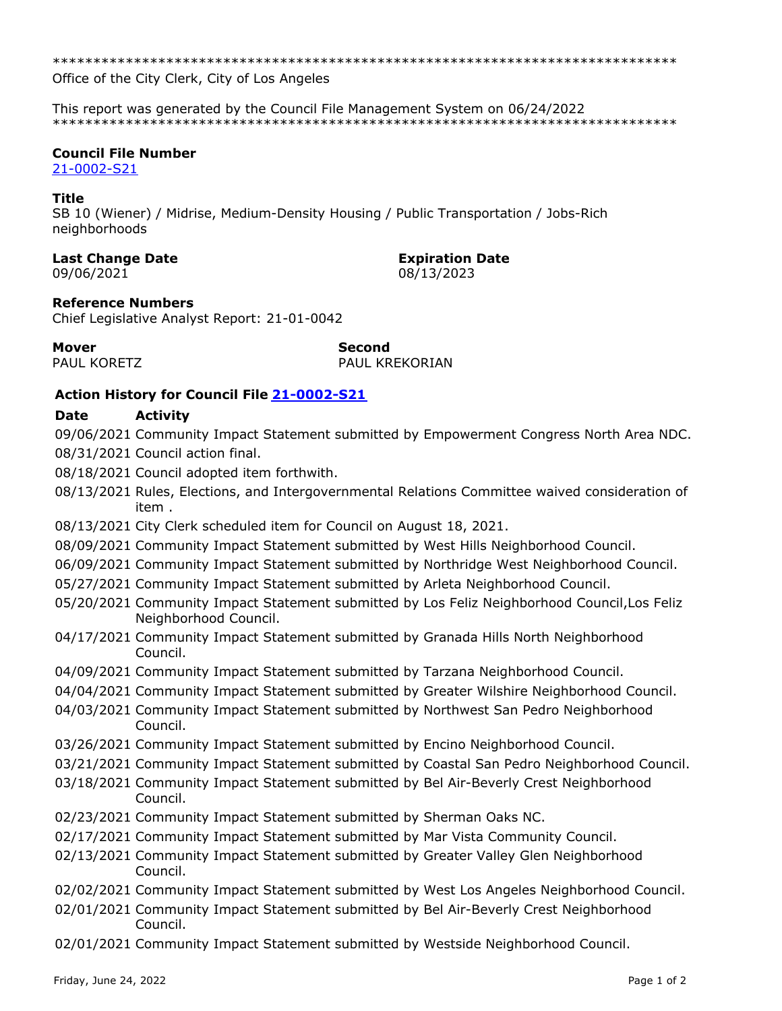Office of the City Clerk, City of Los Angeles

This report was generated by the Council File Management System on 06/24/2022 

## **Council File Number**

21-0002-S21

# **Title**

SB 10 (Wiener) / Midrise, Medium-Density Housing / Public Transportation / Jobs-Rich neighborhoods

## **Last Change Date**

09/06/2021

PAUL KORETZ

**Expiration Date** 

08/13/2023

# **Reference Numbers**

Chief Legislative Analyst Report: 21-01-0042

## **Mover**

**Second PAUL KREKORIAN** 

# **Action History for Council File 21-0002-S21**

#### Date **Activity**

09/06/2021 Community Impact Statement submitted by Empowerment Congress North Area NDC. 08/31/2021 Council action final.

- 08/18/2021 Council adopted item forthwith.
- 08/13/2021 Rules, Elections, and Intergovernmental Relations Committee waived consideration of item.
- 08/13/2021 City Clerk scheduled item for Council on August 18, 2021.
- 08/09/2021 Community Impact Statement submitted by West Hills Neighborhood Council.
- 06/09/2021 Community Impact Statement submitted by Northridge West Neighborhood Council.
- 05/27/2021 Community Impact Statement submitted by Arleta Neighborhood Council.
- 05/20/2021 Community Impact Statement submitted by Los Feliz Neighborhood Council, Los Feliz Neighborhood Council.
- 04/17/2021 Community Impact Statement submitted by Granada Hills North Neighborhood Council.
- 04/09/2021 Community Impact Statement submitted by Tarzana Neighborhood Council.
- 04/04/2021 Community Impact Statement submitted by Greater Wilshire Neighborhood Council.
- 04/03/2021 Community Impact Statement submitted by Northwest San Pedro Neighborhood Council.
- 03/26/2021 Community Impact Statement submitted by Encino Neighborhood Council.
- 03/21/2021 Community Impact Statement submitted by Coastal San Pedro Neighborhood Council.
- 03/18/2021 Community Impact Statement submitted by Bel Air-Beverly Crest Neighborhood Council.
- 02/23/2021 Community Impact Statement submitted by Sherman Oaks NC.
- 02/17/2021 Community Impact Statement submitted by Mar Vista Community Council.
- 02/13/2021 Community Impact Statement submitted by Greater Valley Glen Neighborhood Council.
- 02/02/2021 Community Impact Statement submitted by West Los Angeles Neighborhood Council.
- 02/01/2021 Community Impact Statement submitted by Bel Air-Beverly Crest Neighborhood Council.
- 02/01/2021 Community Impact Statement submitted by Westside Neighborhood Council.